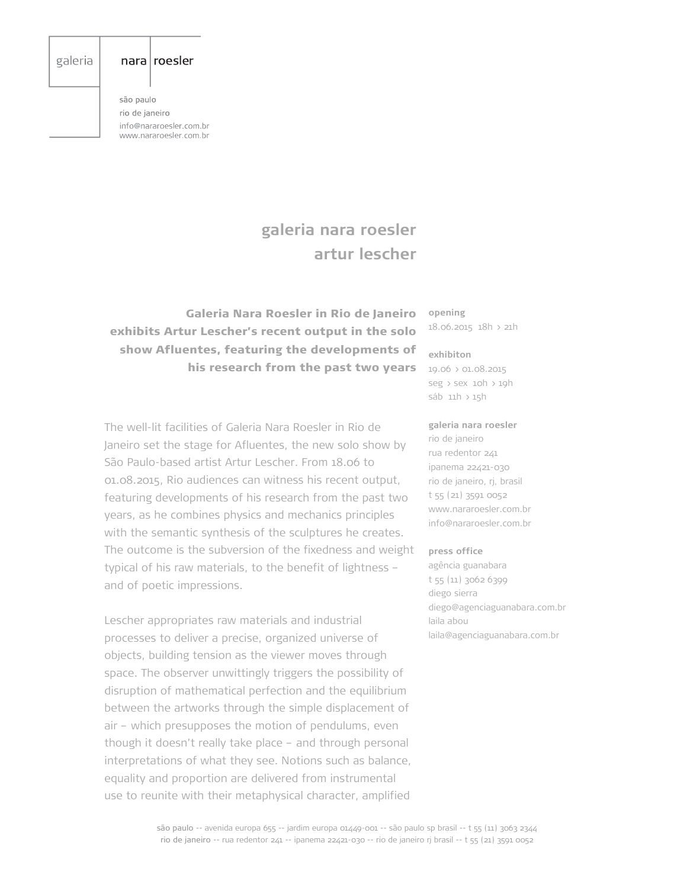## galeria

## nara roesler

são paulo rio de janeiro info@nararoesler.com.br www.nararoesler.com.br

# **galeria nara roesler artur lescher**

 Galeria Nara Roesler in Rio de Janeiro exhibits Artur Lescher's recent output in the solo show Afluentes, featuring the developments of his research from the past two years **opening** 18.06.2015 18h > 21h

#### **exhibiton**

19.06 > 01.08.2015 seg > sex 10h > 19h sáb 11h > 15h

The well-lit facilities of Galeria Nara Roesler in Rio de Janeiro set the stage for Afluentes, the new solo show by São Paulo-based artist Artur Lescher. From 18.06 to 01.08.2015, Rio audiences can witness his recent output, featuring developments of his research from the past two years, as he combines physics and mechanics principles with the semantic synthesis of the sculptures he creates. The outcome is the subversion of the fixedness and weight typical of his raw materials, to the benefit of lightness – and of poetic impressions.

Lescher appropriates raw materials and industrial processes to deliver a precise, organized universe of objects, building tension as the viewer moves through space. The observer unwittingly triggers the possibility of disruption of mathematical perfection and the equilibrium between the artworks through the simple displacement of air – which presupposes the motion of pendulums, even though it doesn't really take place – and through personal interpretations of what they see. Notions such as balance, equality and proportion are delivered from instrumental use to reunite with their metaphysical character, amplified

#### **galeria nara roesler**

rio de janeiro rua redentor 241 ipanema 22421-030 rio de janeiro, rj, brasil t 55 (21) 3591 0052 www.nararoesler.com.br info@nararoesler.com.br

#### **press office**

agência guanabara t 55 (11) 3062 6399 diego sierra diego@agenciaguanabara.com.br laila abou laila@agenciaguanabara.com.br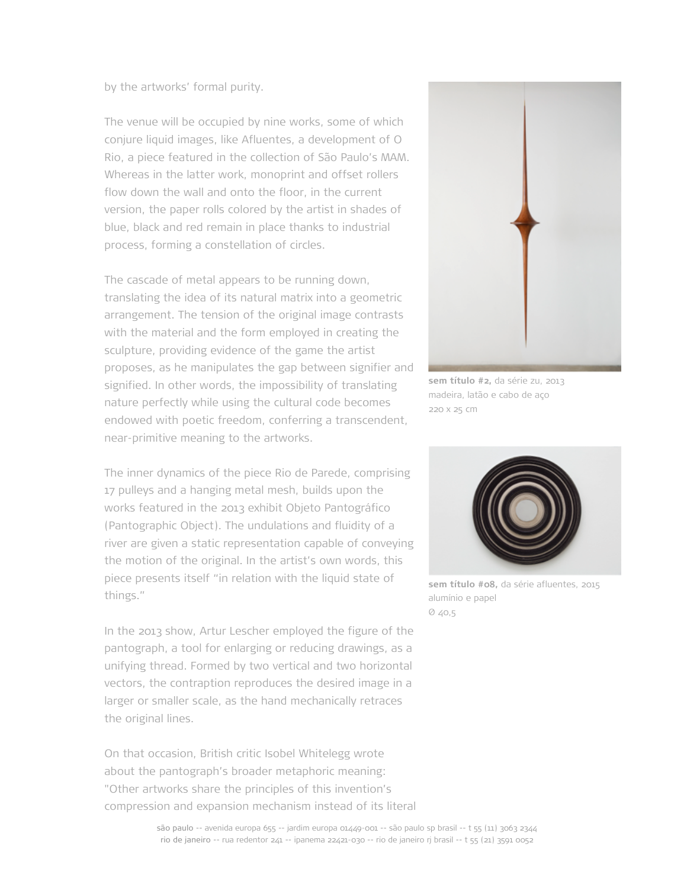## by the artworks' formal purity.

The venue will be occupied by nine works, some of which conjure liquid images, like Afluentes, a development of O Rio, a piece featured in the collection of São Paulo's MAM. Whereas in the latter work, monoprint and offset rollers flow down the wall and onto the floor, in the current version, the paper rolls colored by the artist in shades of blue, black and red remain in place thanks to industrial process, forming a constellation of circles.

The cascade of metal appears to be running down, translating the idea of its natural matrix into a geometric arrangement. The tension of the original image contrasts with the material and the form employed in creating the sculpture, providing evidence of the game the artist proposes, as he manipulates the gap between signifier and signified. In other words, the impossibility of translating nature perfectly while using the cultural code becomes endowed with poetic freedom, conferring a transcendent, near-primitive meaning to the artworks.

The inner dynamics of the piece Rio de Parede, comprising 17 pulleys and a hanging metal mesh, builds upon the works featured in the 2013 exhibit Objeto Pantográfico (Pantographic Object). The undulations and fluidity of a river are given a static representation capable of conveying the motion of the original. In the artist's own words, this piece presents itself "in relation with the liquid state of things."

In the 2013 show, Artur Lescher employed the figure of the pantograph, a tool for enlarging or reducing drawings, as a unifying thread. Formed by two vertical and two horizontal vectors, the contraption reproduces the desired image in a larger or smaller scale, as the hand mechanically retraces the original lines.

On that occasion, British critic Isobel Whitelegg wrote about the pantograph's broader metaphoric meaning: "Other artworks share the principles of this invention's compression and expansion mechanism instead of its literal



**sem título #2,** da série zu, 2013 madeira, latão e cabo de aço 220 x 25 cm



**sem título #08,** da série afluentes, 2015 alumínio e papel  $040,5$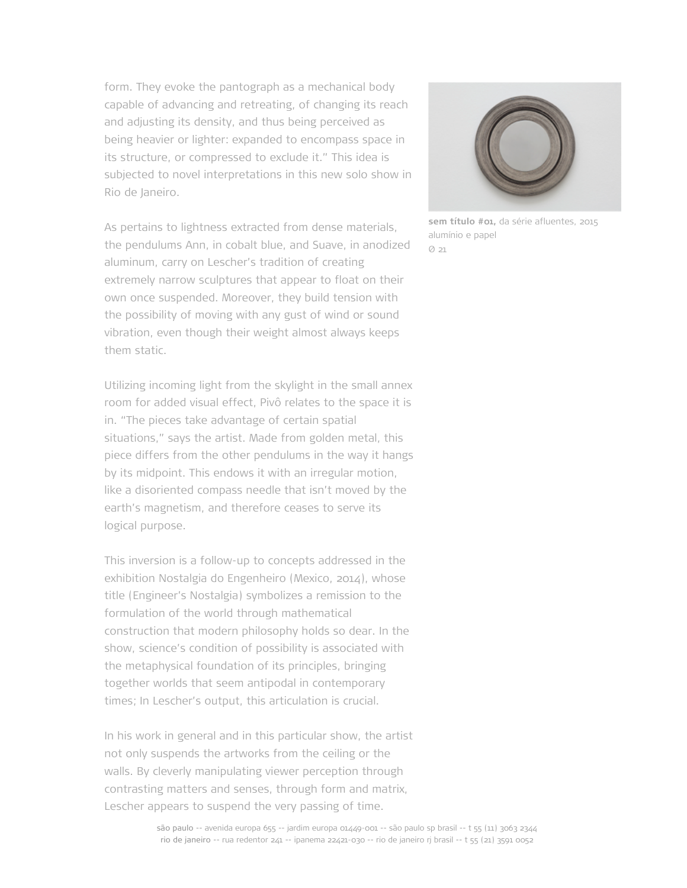form. They evoke the pantograph as a mechanical body capable of advancing and retreating, of changing its reach and adjusting its density, and thus being perceived as being heavier or lighter: expanded to encompass space in its structure, or compressed to exclude it." This idea is subjected to novel interpretations in this new solo show in Rio de Janeiro.

As pertains to lightness extracted from dense materials, the pendulums Ann, in cobalt blue, and Suave, in anodized aluminum, carry on Lescher's tradition of creating extremely narrow sculptures that appear to float on their own once suspended. Moreover, they build tension with the possibility of moving with any gust of wind or sound vibration, even though their weight almost always keeps them static.

Utilizing incoming light from the skylight in the small annex room for added visual effect, Pivô relates to the space it is in. "The pieces take advantage of certain spatial situations," says the artist. Made from golden metal, this piece differs from the other pendulums in the way it hangs by its midpoint. This endows it with an irregular motion, like a disoriented compass needle that isn't moved by the earth's magnetism, and therefore ceases to serve its logical purpose.

This inversion is a follow-up to concepts addressed in the exhibition Nostalgia do Engenheiro (Mexico, 2014), whose title (Engineer's Nostalgia) symbolizes a remission to the formulation of the world through mathematical construction that modern philosophy holds so dear. In the show, science's condition of possibility is associated with the metaphysical foundation of its principles, bringing together worlds that seem antipodal in contemporary times; In Lescher's output, this articulation is crucial.

In his work in general and in this particular show, the artist not only suspends the artworks from the ceiling or the walls. By cleverly manipulating viewer perception through contrasting matters and senses, through form and matrix, Lescher appears to suspend the very passing of time.



**sem título #01,** da série afluentes, 2015 alumínio e papel Ø 21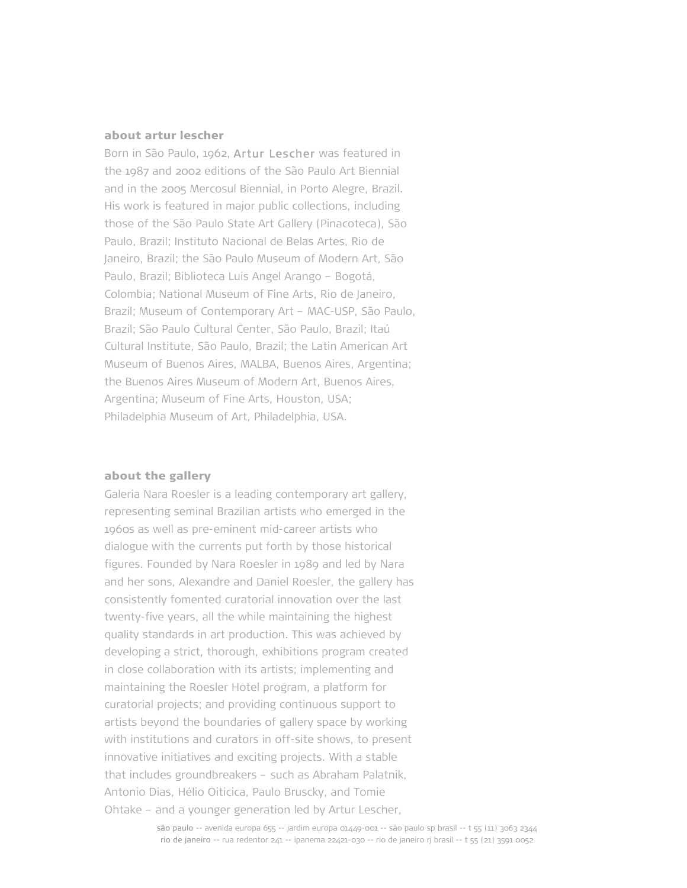# about artur lescher

Born in São Paulo, 1962, Artur Lescher was featured in the 1987 and 2002 editions of the São Paulo Art Biennial and in the 2005 Mercosul Biennial, in Porto Alegre, Brazil. His work is featured in major public collections, including those of the São Paulo State Art Gallery (Pinacoteca), São Paulo, Brazil; Instituto Nacional de Belas Artes, Rio de Janeiro, Brazil; the São Paulo Museum of Modern Art, São Paulo, Brazil; Biblioteca Luis Angel Arango – Bogotá, Colombia; National Museum of Fine Arts, Rio de Janeiro, Brazil; Museum of Contemporary Art – MAC-USP, São Paulo, Brazil; São Paulo Cultural Center, São Paulo, Brazil; Itaú Cultural Institute, São Paulo, Brazil; the Latin American Art Museum of Buenos Aires, MALBA, Buenos Aires, Argentina; the Buenos Aires Museum of Modern Art, Buenos Aires, Argentina; Museum of Fine Arts, Houston, USA; Philadelphia Museum of Art, Philadelphia, USA.

#### about the gallery

Galeria Nara Roesler is a leading contemporary art gallery, representing seminal Brazilian artists who emerged in the 1960s as well as pre-eminent mid-career artists who dialogue with the currents put forth by those historical figures. Founded by Nara Roesler in 1989 and led by Nara and her sons, Alexandre and Daniel Roesler, the gallery has consistently fomented curatorial innovation over the last twenty-five years, all the while maintaining the highest quality standards in art production. This was achieved by developing a strict, thorough, exhibitions program created in close collaboration with its artists; implementing and maintaining the Roesler Hotel program, a platform for curatorial projects; and providing continuous support to artists beyond the boundaries of gallery space by working with institutions and curators in off-site shows, to present innovative initiatives and exciting projects. With a stable that includes groundbreakers – such as Abraham Palatnik, Antonio Dias, Hélio Oiticica, Paulo Bruscky, and Tomie Ohtake – and a younger generation led by Artur Lescher,